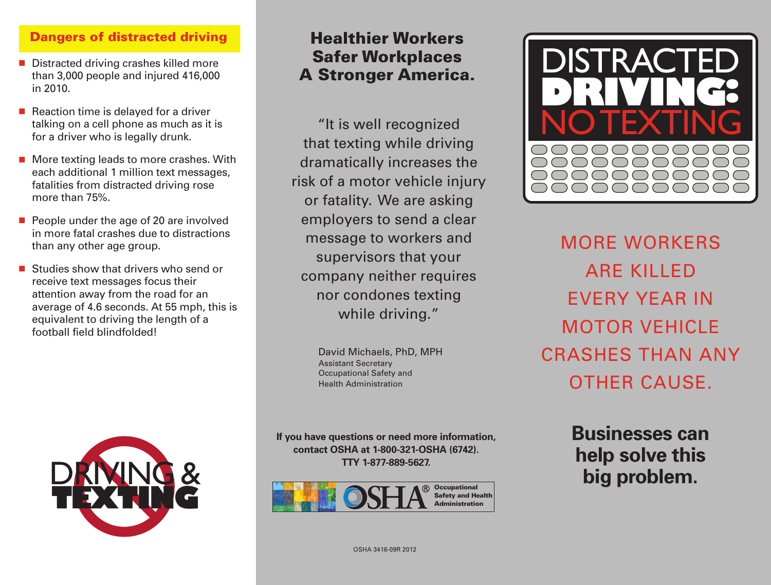### **Dangers of distracted driving**

- Distracted driving crashes killed more than 3,000 people and injured 416,000 in 2010.
- Reaction time is delayed for a driver talking on a cell phone as much as it is for a driver who is legally drunk.
- More texting leads to more crashes. With each additional 1 million text messages, fatalities from distracted driving rose more than 75%.
- People under the age of 20 are involved in more fatal crashes due to distractions than any other age group.
- Studies show that drivers who send or receive text messages focus their attention away from the road for an average of 4.6 seconds. At 55 mph, this is equivalent to driving the length of a football field blindfolded!

# **Healthier Workers Safer Workplaces A Stronger America.**

"It is well recognized that texting while driving dramatically increases the risk of a motor vehicle injury or fatality. We are asking employers to send a clear message to workers and supervisors that your company neither requires nor condones texting while driving."

> David Michaels, PhD, MPH Assistant Secretary Occupational Safety and Health Administration

**If you have questions or need more information, contact OSHA at 1-800-321-OSHA (6742). TTY 1-877-889-5627.**





MORE WORKERS ARE KILLED EVERY YEAR IN MOTOR VEHICLE CRASHES THAN ANY OTHER CAUSE.

**Businesses can help solve this big problem.** 



OSHA 3416-09R 2012